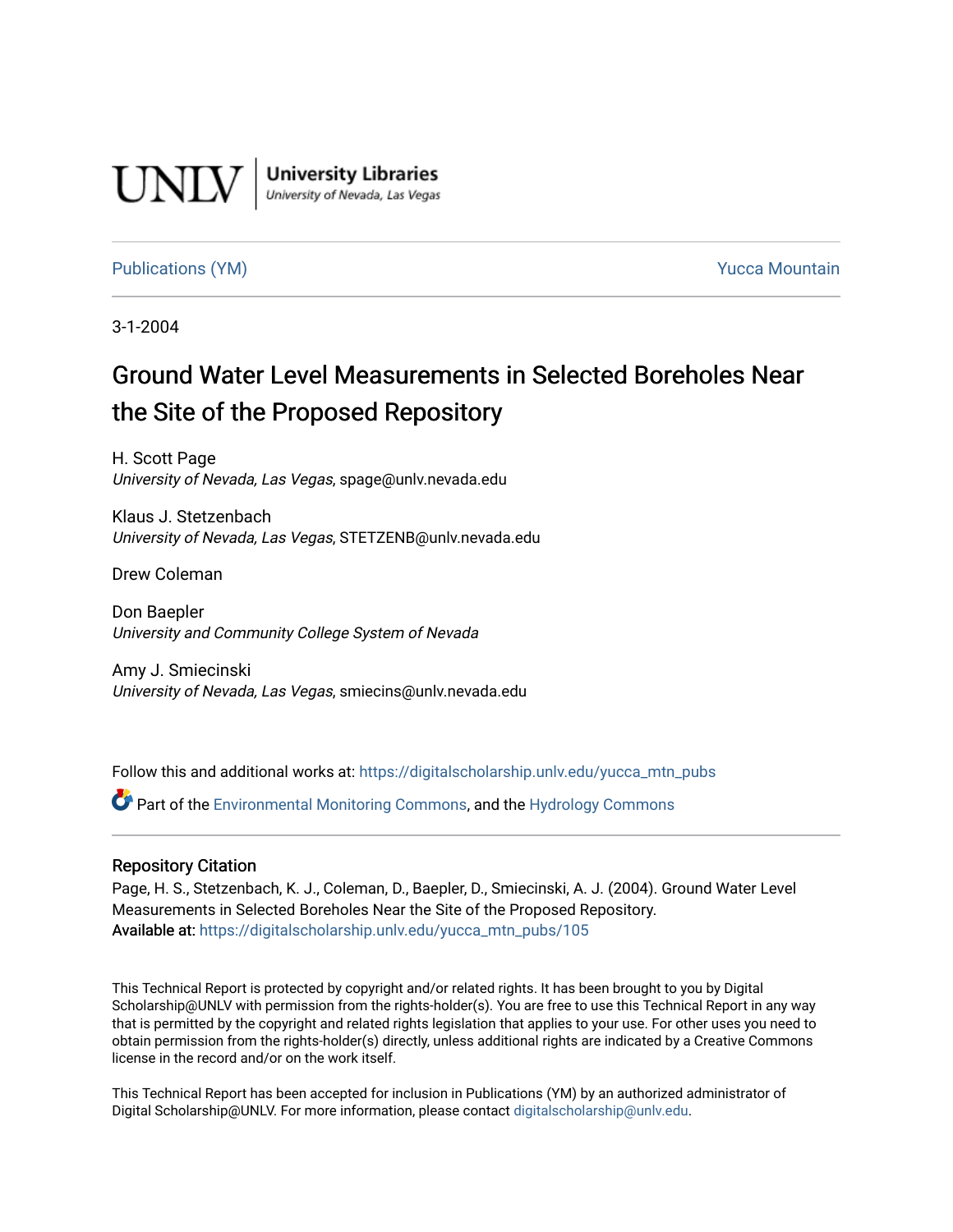

**University Libraries**<br>University of Nevada, Las Vegas

## [Publications \(YM\)](https://digitalscholarship.unlv.edu/yucca_mtn_pubs) **Publications (YM) Publications (YM) Publications** (*YM*) **Publications** (*YM*) **Publications** (*YM*) **Publications** (*YM*) **Publications** (*YM*) **Publications** (*YM*) **Publications** (*YM*) **Publicati**

3-1-2004

# Ground Water Level Measurements in Selected Boreholes Near the Site of the Proposed Repository

H. Scott Page University of Nevada, Las Vegas, spage@unlv.nevada.edu

Klaus J. Stetzenbach University of Nevada, Las Vegas, STETZENB@unlv.nevada.edu

Drew Coleman

Don Baepler University and Community College System of Nevada

Amy J. Smiecinski University of Nevada, Las Vegas, smiecins@unlv.nevada.edu

Follow this and additional works at: [https://digitalscholarship.unlv.edu/yucca\\_mtn\\_pubs](https://digitalscholarship.unlv.edu/yucca_mtn_pubs?utm_source=digitalscholarship.unlv.edu%2Fyucca_mtn_pubs%2F105&utm_medium=PDF&utm_campaign=PDFCoverPages)

Part of the [Environmental Monitoring Commons](http://network.bepress.com/hgg/discipline/931?utm_source=digitalscholarship.unlv.edu%2Fyucca_mtn_pubs%2F105&utm_medium=PDF&utm_campaign=PDFCoverPages), and the [Hydrology Commons](http://network.bepress.com/hgg/discipline/1054?utm_source=digitalscholarship.unlv.edu%2Fyucca_mtn_pubs%2F105&utm_medium=PDF&utm_campaign=PDFCoverPages) 

#### Repository Citation

Page, H. S., Stetzenbach, K. J., Coleman, D., Baepler, D., Smiecinski, A. J. (2004). Ground Water Level Measurements in Selected Boreholes Near the Site of the Proposed Repository. Available at: [https://digitalscholarship.unlv.edu/yucca\\_mtn\\_pubs/105](https://digitalscholarship.unlv.edu/yucca_mtn_pubs/105) 

This Technical Report is protected by copyright and/or related rights. It has been brought to you by Digital Scholarship@UNLV with permission from the rights-holder(s). You are free to use this Technical Report in any way that is permitted by the copyright and related rights legislation that applies to your use. For other uses you need to obtain permission from the rights-holder(s) directly, unless additional rights are indicated by a Creative Commons license in the record and/or on the work itself.

This Technical Report has been accepted for inclusion in Publications (YM) by an authorized administrator of Digital Scholarship@UNLV. For more information, please contact [digitalscholarship@unlv.edu](mailto:digitalscholarship@unlv.edu).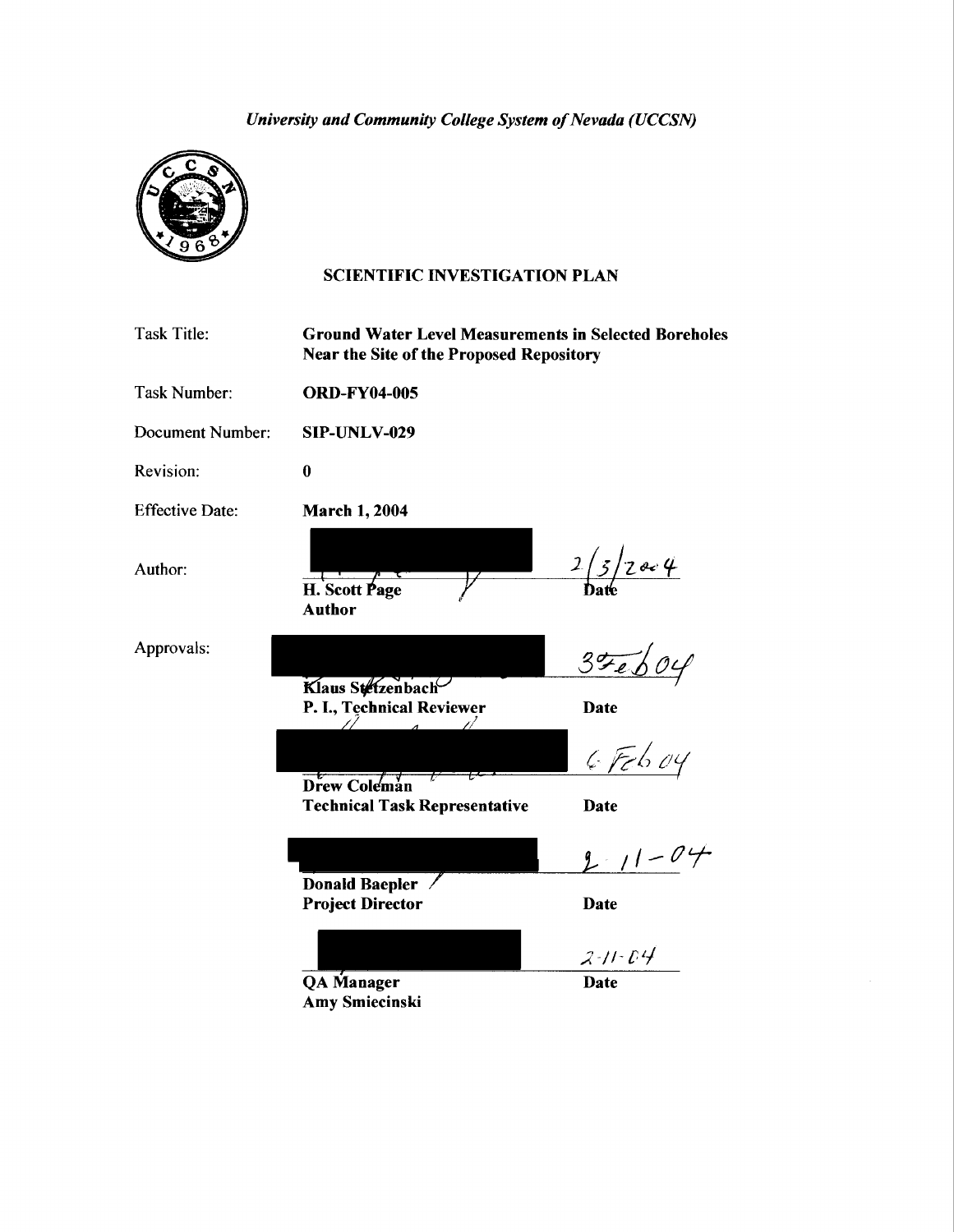*University and Community College System of Nevada (UCCSN)* 



## SCIENTIFIC INVESTIGATION PLAN

| Task Title:            | <b>Ground Water Level Measurements in Selected Boreholes</b><br><b>Near the Site of the Proposed Repository</b> |               |
|------------------------|-----------------------------------------------------------------------------------------------------------------|---------------|
| Task Number:           | <b>ORD-FY04-005</b>                                                                                             |               |
| Document Number:       | SIP-UNLV-029                                                                                                    |               |
| Revision:              | $\bf{0}$                                                                                                        |               |
| <b>Effective Date:</b> | <b>March 1, 2004</b>                                                                                            |               |
| Author:                | H. Scott Page<br><b>Author</b>                                                                                  | 2/3/2004      |
| Approvals:             | Klaus Stetzenbach<br>P. I., Technical Reviewer<br>$\overline{A}$                                                | 35604<br>Date |
|                        |                                                                                                                 | $6$ Feb 04    |
|                        | Drew Coleman<br><b>Technical Task Representative</b>                                                            | Date          |
|                        |                                                                                                                 | $2/1 - 04$    |
|                        | Donald Baepler /<br><b>Project Director</b>                                                                     | <b>Date</b>   |
|                        |                                                                                                                 | $2 - 11 - 04$ |
|                        | <b>QA</b> Manager<br><b>Amy Smiecinski</b>                                                                      | <b>Date</b>   |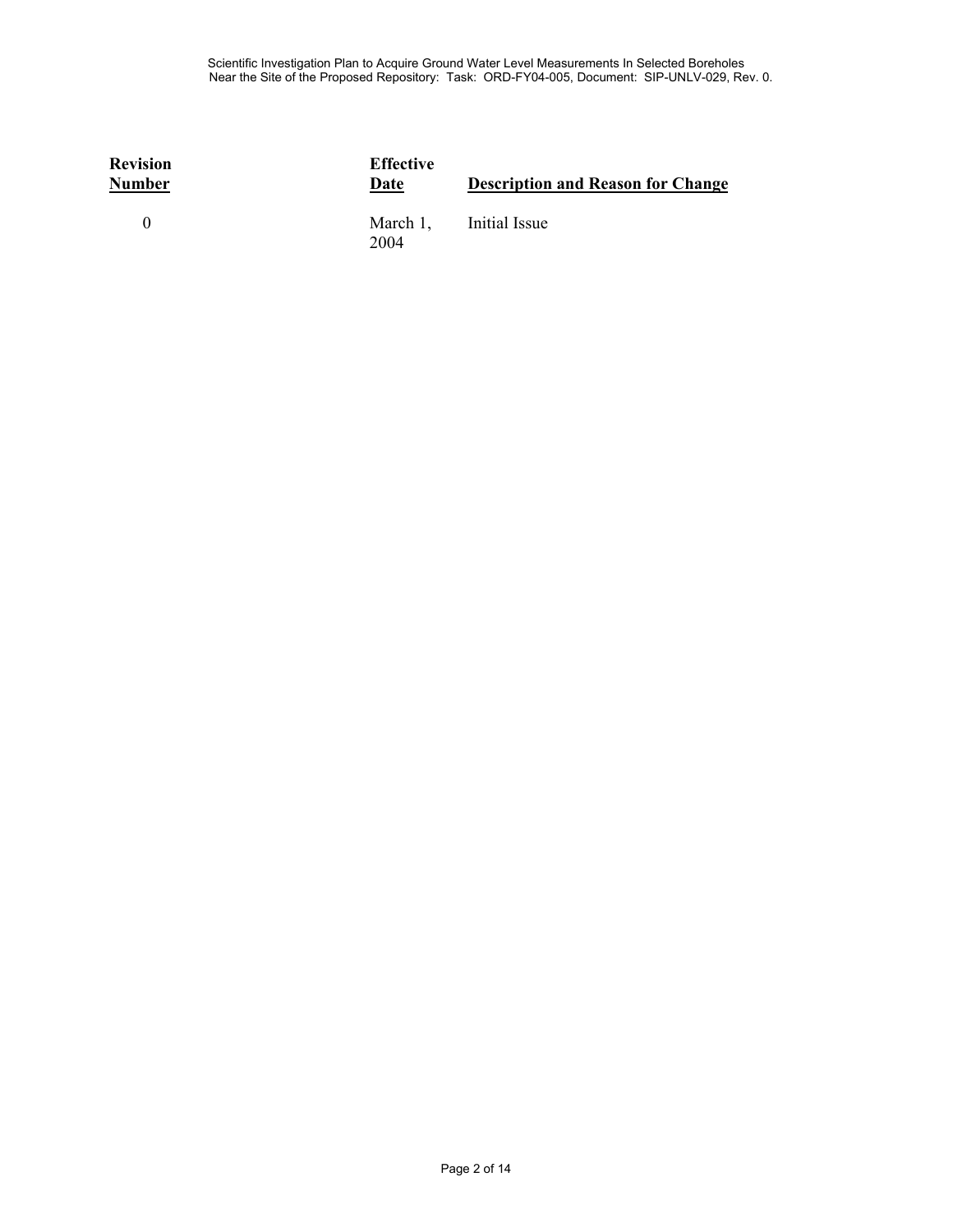| <b>Revision</b><br><b>Number</b> | <b>Effective</b><br>Date | <b>Description and Reason for Change</b> |
|----------------------------------|--------------------------|------------------------------------------|
| $\Omega$                         | March 1,<br>2004         | Initial Issue                            |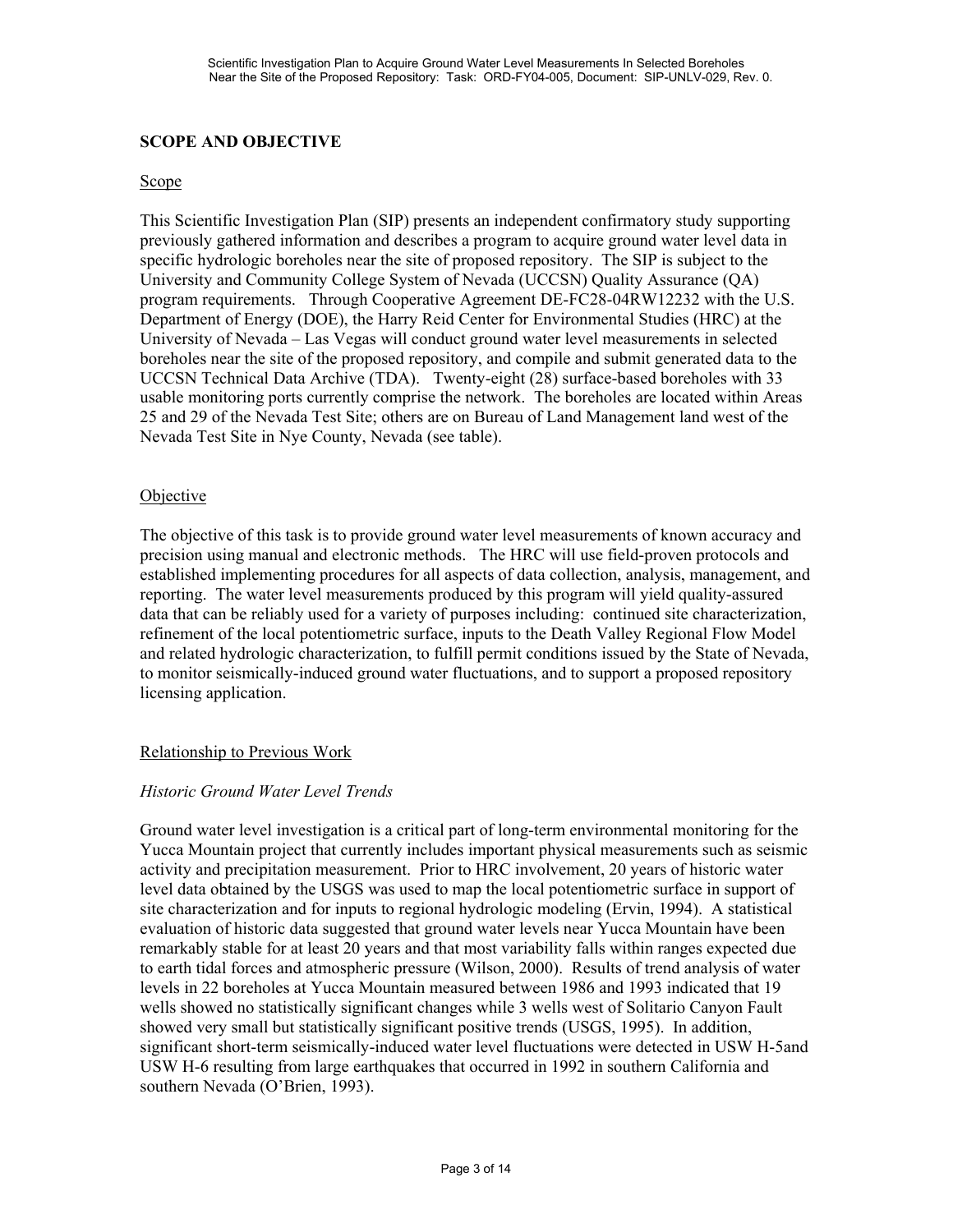## **SCOPE AND OBJECTIVE**

#### Scope

This Scientific Investigation Plan (SIP) presents an independent confirmatory study supporting previously gathered information and describes a program to acquire ground water level data in specific hydrologic boreholes near the site of proposed repository. The SIP is subject to the University and Community College System of Nevada (UCCSN) Quality Assurance (QA) program requirements. Through Cooperative Agreement DE-FC28-04RW12232 with the U.S. Department of Energy (DOE), the Harry Reid Center for Environmental Studies (HRC) at the University of Nevada – Las Vegas will conduct ground water level measurements in selected boreholes near the site of the proposed repository, and compile and submit generated data to the UCCSN Technical Data Archive (TDA). Twenty-eight (28) surface-based boreholes with 33 usable monitoring ports currently comprise the network. The boreholes are located within Areas 25 and 29 of the Nevada Test Site; others are on Bureau of Land Management land west of the Nevada Test Site in Nye County, Nevada (see table).

#### **Objective**

The objective of this task is to provide ground water level measurements of known accuracy and precision using manual and electronic methods. The HRC will use field-proven protocols and established implementing procedures for all aspects of data collection, analysis, management, and reporting. The water level measurements produced by this program will yield quality-assured data that can be reliably used for a variety of purposes including: continued site characterization, refinement of the local potentiometric surface, inputs to the Death Valley Regional Flow Model and related hydrologic characterization, to fulfill permit conditions issued by the State of Nevada, to monitor seismically-induced ground water fluctuations, and to support a proposed repository licensing application.

### Relationship to Previous Work

### *Historic Ground Water Level Trends*

Ground water level investigation is a critical part of long-term environmental monitoring for the Yucca Mountain project that currently includes important physical measurements such as seismic activity and precipitation measurement. Prior to HRC involvement, 20 years of historic water level data obtained by the USGS was used to map the local potentiometric surface in support of site characterization and for inputs to regional hydrologic modeling (Ervin, 1994). A statistical evaluation of historic data suggested that ground water levels near Yucca Mountain have been remarkably stable for at least 20 years and that most variability falls within ranges expected due to earth tidal forces and atmospheric pressure (Wilson, 2000). Results of trend analysis of water levels in 22 boreholes at Yucca Mountain measured between 1986 and 1993 indicated that 19 wells showed no statistically significant changes while 3 wells west of Solitario Canyon Fault showed very small but statistically significant positive trends (USGS, 1995). In addition, significant short-term seismically-induced water level fluctuations were detected in USW H-5and USW H-6 resulting from large earthquakes that occurred in 1992 in southern California and southern Nevada (O'Brien, 1993).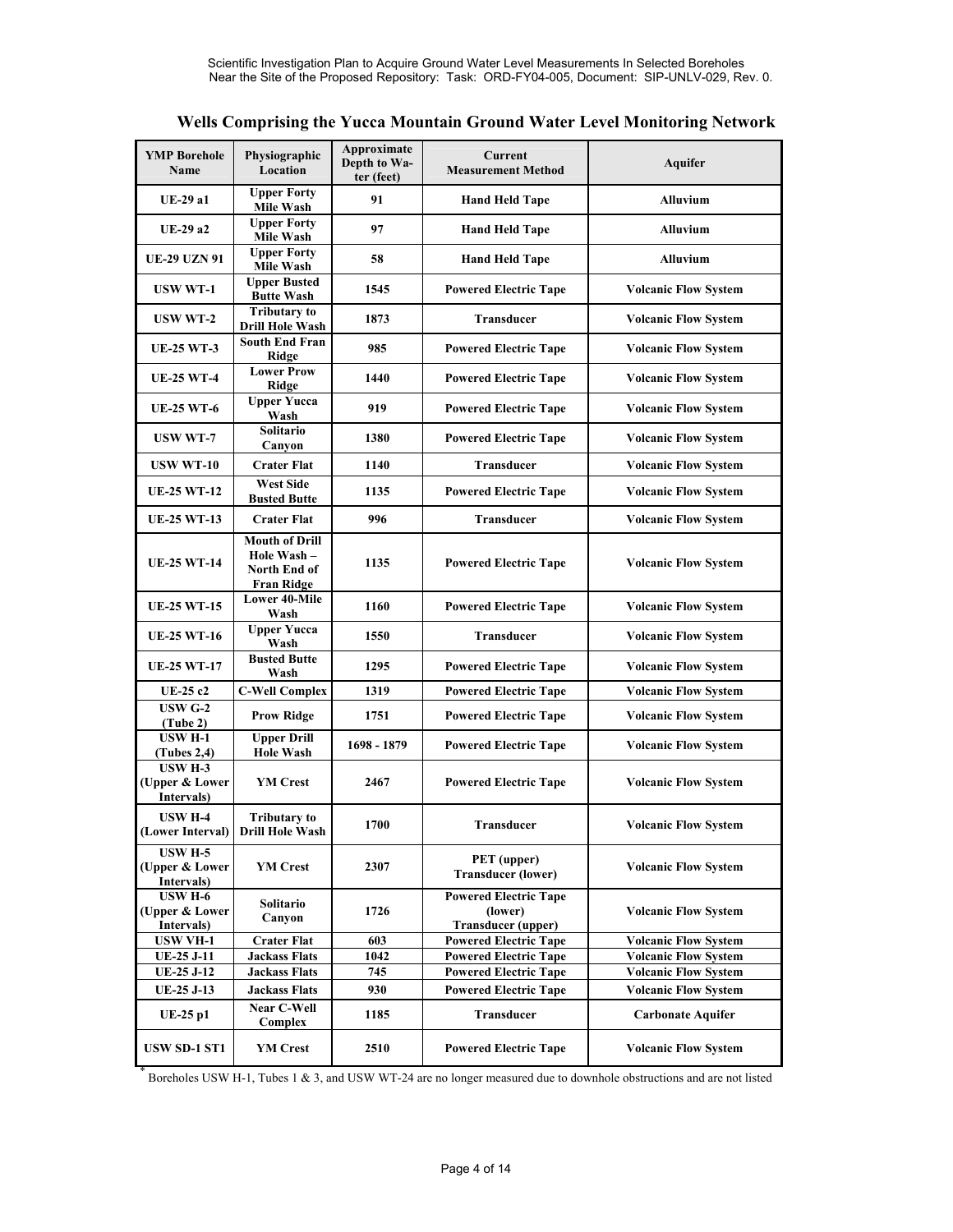|  |  | Wells Comprising the Yucca Mountain Ground Water Level Monitoring Network |
|--|--|---------------------------------------------------------------------------|
|--|--|---------------------------------------------------------------------------|

| <b>YMP Borehole</b><br><b>Name</b>             | Physiographic<br>Location                                                | Approximate<br>Depth to Wa-<br>ter (feet) | Current<br><b>Measurement Method</b>                                 | <b>Aquifer</b>                                             |
|------------------------------------------------|--------------------------------------------------------------------------|-------------------------------------------|----------------------------------------------------------------------|------------------------------------------------------------|
| <b>UE-29 a1</b>                                | <b>Upper Forty</b><br>Mile Wash                                          | 91                                        | <b>Hand Held Tape</b>                                                | <b>Alluvium</b>                                            |
| <b>UE-29 a2</b>                                | <b>Upper Forty</b><br>Mile Wash                                          | 97                                        | <b>Hand Held Tape</b>                                                | <b>Alluvium</b>                                            |
| <b>UE-29 UZN 91</b>                            | <b>Upper Forty</b><br>Mile Wash                                          | 58                                        | <b>Hand Held Tape</b>                                                | <b>Alluvium</b>                                            |
| <b>USW WT-1</b>                                | <b>Upper Busted</b><br><b>Butte Wash</b>                                 | 1545                                      | <b>Powered Electric Tape</b>                                         | <b>Volcanic Flow System</b>                                |
| <b>USW WT-2</b>                                | <b>Tributary to</b><br><b>Drill Hole Wash</b>                            | 1873                                      | <b>Transducer</b>                                                    | <b>Volcanic Flow System</b>                                |
| <b>UE-25 WT-3</b>                              | <b>South End Fran</b><br>Ridge                                           | 985                                       | <b>Powered Electric Tape</b>                                         | <b>Volcanic Flow System</b>                                |
| <b>UE-25 WT-4</b>                              | <b>Lower Prow</b><br>Ridge                                               | 1440                                      | <b>Powered Electric Tape</b>                                         | <b>Volcanic Flow System</b>                                |
| <b>UE-25 WT-6</b>                              | <b>Upper Yucca</b><br>Wash                                               | 919                                       | <b>Powered Electric Tape</b>                                         | <b>Volcanic Flow System</b>                                |
| <b>USW WT-7</b>                                | <b>Solitario</b><br>Canyon                                               | 1380                                      | <b>Powered Electric Tape</b>                                         | <b>Volcanic Flow System</b>                                |
| <b>USW WT-10</b>                               | <b>Crater Flat</b>                                                       | 1140                                      | <b>Transducer</b>                                                    | <b>Volcanic Flow System</b>                                |
| <b>UE-25 WT-12</b>                             | <b>West Side</b><br><b>Busted Butte</b>                                  | 1135                                      | <b>Powered Electric Tape</b>                                         | <b>Volcanic Flow System</b>                                |
| <b>UE-25 WT-13</b>                             | <b>Crater Flat</b>                                                       | 996                                       | Transducer                                                           | <b>Volcanic Flow System</b>                                |
| <b>UE-25 WT-14</b>                             | <b>Mouth of Drill</b><br>Hole Wash-<br>North End of<br><b>Fran Ridge</b> | 1135                                      | <b>Powered Electric Tape</b>                                         | <b>Volcanic Flow System</b>                                |
| <b>UE-25 WT-15</b>                             | <b>Lower 40-Mile</b><br>Wash                                             | 1160                                      | <b>Powered Electric Tape</b>                                         | <b>Volcanic Flow System</b>                                |
| <b>UE-25 WT-16</b>                             | <b>Upper Yucca</b><br>Wash                                               | 1550                                      | <b>Transducer</b>                                                    | <b>Volcanic Flow System</b>                                |
| <b>UE-25 WT-17</b>                             | <b>Busted Butte</b><br>Wash                                              | 1295                                      | <b>Powered Electric Tape</b>                                         | <b>Volcanic Flow System</b>                                |
| UE-25 c2                                       | <b>C-Well Complex</b>                                                    | 1319                                      | <b>Powered Electric Tape</b>                                         | <b>Volcanic Flow System</b>                                |
| <b>USW G-2</b><br>(Tube 2)                     | <b>Prow Ridge</b>                                                        | 1751                                      | <b>Powered Electric Tape</b>                                         | <b>Volcanic Flow System</b>                                |
| <b>USW H-1</b><br>(Tubes 2, 4)                 | <b>Upper Drill</b><br><b>Hole Wash</b>                                   | 1698 - 1879                               | <b>Powered Electric Tape</b>                                         | <b>Volcanic Flow System</b>                                |
| <b>USW H-3</b><br>(Upper & Lower<br>Intervals) | <b>YM</b> Crest                                                          | 2467                                      | <b>Powered Electric Tape</b>                                         | <b>Volcanic Flow System</b>                                |
| <b>USW H-4</b><br>(Lower Interval)             | <b>Tributary to</b><br><b>Drill Hole Wash</b>                            | 1700                                      | <b>Transducer</b>                                                    | <b>Volcanic Flow System</b>                                |
| <b>USW H-5</b><br>(Upper & Lower<br>Intervals) | <b>YM</b> Crest                                                          | 2307                                      | PET (upper)<br><b>Transducer (lower)</b>                             | <b>Volcanic Flow System</b>                                |
| <b>USW H-6</b><br>(Upper & Lower<br>Intervals) | Solitario<br>Canyon                                                      | 1726                                      | <b>Powered Electric Tape</b><br>(lower)<br><b>Transducer</b> (upper) | <b>Volcanic Flow System</b>                                |
| <b>USW VH-1</b>                                | <b>Crater Flat</b>                                                       | 603                                       | <b>Powered Electric Tape</b>                                         | <b>Volcanic Flow System</b>                                |
| $UE-25$ J-11<br>UE-25 J-12                     | <b>Jackass Flats</b><br><b>Jackass Flats</b>                             | 1042<br>745                               | <b>Powered Electric Tape</b><br><b>Powered Electric Tape</b>         | <b>Volcanic Flow System</b><br><b>Volcanic Flow System</b> |
| UE-25 J-13                                     | <b>Jackass Flats</b>                                                     | 930                                       | <b>Powered Electric Tape</b>                                         | <b>Volcanic Flow System</b>                                |
| <b>UE-25 p1</b>                                | <b>Near C-Well</b><br>Complex                                            | 1185                                      | Transducer                                                           | <b>Carbonate Aquifer</b>                                   |
| <b>USW SD-1 ST1</b>                            | <b>YM Crest</b>                                                          | 2510                                      | <b>Powered Electric Tape</b>                                         | <b>Volcanic Flow System</b>                                |

\* Boreholes USW H-1, Tubes 1 & 3, and USW WT-24 are no longer measured due to downhole obstructions and are not listed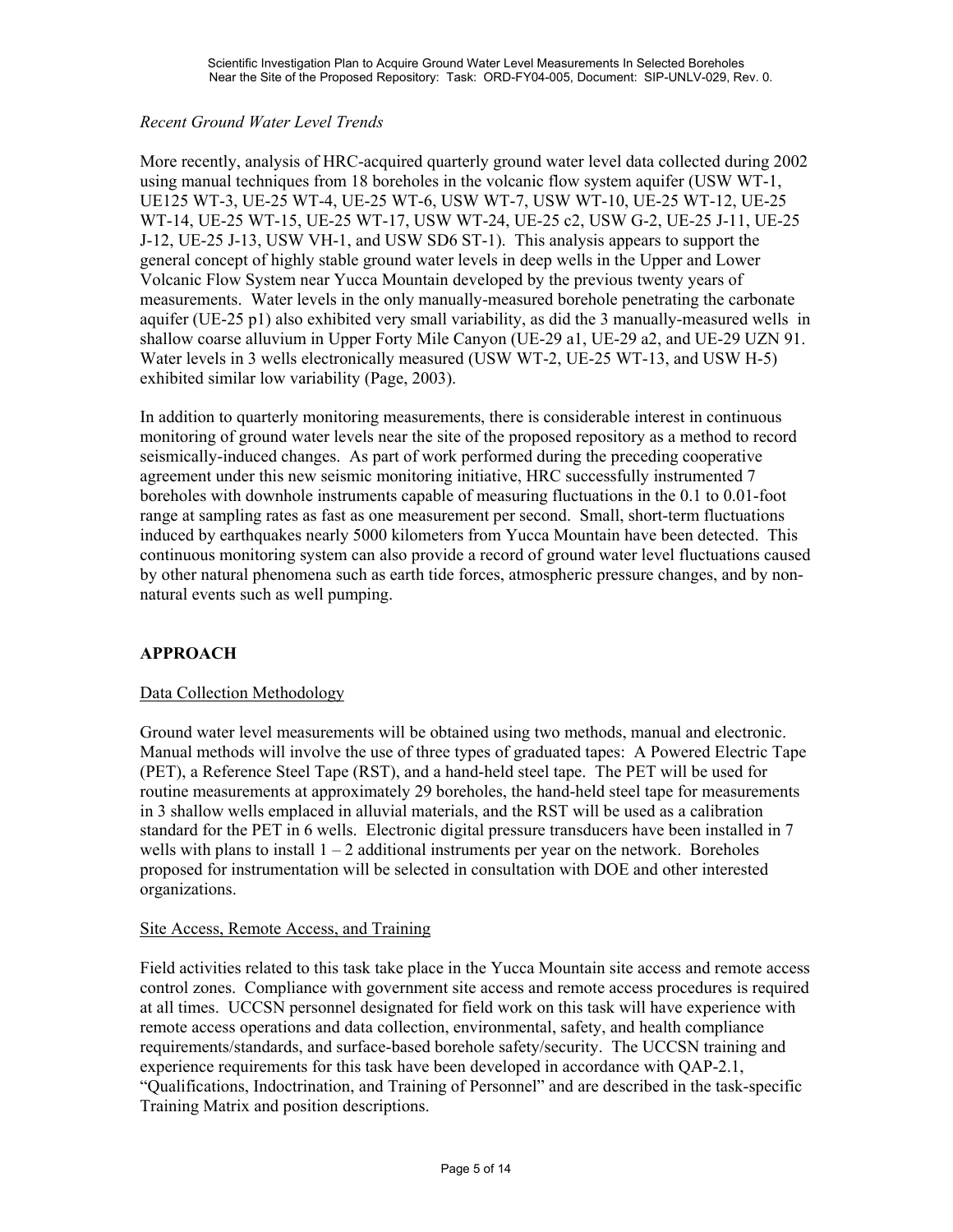## *Recent Ground Water Level Trends*

More recently, analysis of HRC-acquired quarterly ground water level data collected during 2002 using manual techniques from 18 boreholes in the volcanic flow system aquifer (USW WT-1, UE125 WT-3, UE-25 WT-4, UE-25 WT-6, USW WT-7, USW WT-10, UE-25 WT-12, UE-25 WT-14, UE-25 WT-15, UE-25 WT-17, USW WT-24, UE-25 c2, USW G-2, UE-25 J-11, UE-25 J-12, UE-25 J-13, USW VH-1, and USW SD6 ST-1). This analysis appears to support the general concept of highly stable ground water levels in deep wells in the Upper and Lower Volcanic Flow System near Yucca Mountain developed by the previous twenty years of measurements. Water levels in the only manually-measured borehole penetrating the carbonate aquifer (UE-25 p1) also exhibited very small variability, as did the 3 manually-measured wells in shallow coarse alluvium in Upper Forty Mile Canyon (UE-29 a1, UE-29 a2, and UE-29 UZN 91. Water levels in 3 wells electronically measured (USW WT-2, UE-25 WT-13, and USW H-5) exhibited similar low variability (Page, 2003).

In addition to quarterly monitoring measurements, there is considerable interest in continuous monitoring of ground water levels near the site of the proposed repository as a method to record seismically-induced changes. As part of work performed during the preceding cooperative agreement under this new seismic monitoring initiative, HRC successfully instrumented 7 boreholes with downhole instruments capable of measuring fluctuations in the 0.1 to 0.01-foot range at sampling rates as fast as one measurement per second. Small, short-term fluctuations induced by earthquakes nearly 5000 kilometers from Yucca Mountain have been detected. This continuous monitoring system can also provide a record of ground water level fluctuations caused by other natural phenomena such as earth tide forces, atmospheric pressure changes, and by nonnatural events such as well pumping.

## **APPROACH**

### Data Collection Methodology

Ground water level measurements will be obtained using two methods, manual and electronic. Manual methods will involve the use of three types of graduated tapes: A Powered Electric Tape (PET), a Reference Steel Tape (RST), and a hand-held steel tape. The PET will be used for routine measurements at approximately 29 boreholes, the hand-held steel tape for measurements in 3 shallow wells emplaced in alluvial materials, and the RST will be used as a calibration standard for the PET in 6 wells. Electronic digital pressure transducers have been installed in 7 wells with plans to install  $1 - 2$  additional instruments per year on the network. Boreholes proposed for instrumentation will be selected in consultation with DOE and other interested organizations.

#### Site Access, Remote Access, and Training

Field activities related to this task take place in the Yucca Mountain site access and remote access control zones. Compliance with government site access and remote access procedures is required at all times. UCCSN personnel designated for field work on this task will have experience with remote access operations and data collection, environmental, safety, and health compliance requirements/standards, and surface-based borehole safety/security. The UCCSN training and experience requirements for this task have been developed in accordance with QAP-2.1, "Qualifications, Indoctrination, and Training of Personnel" and are described in the task-specific Training Matrix and position descriptions.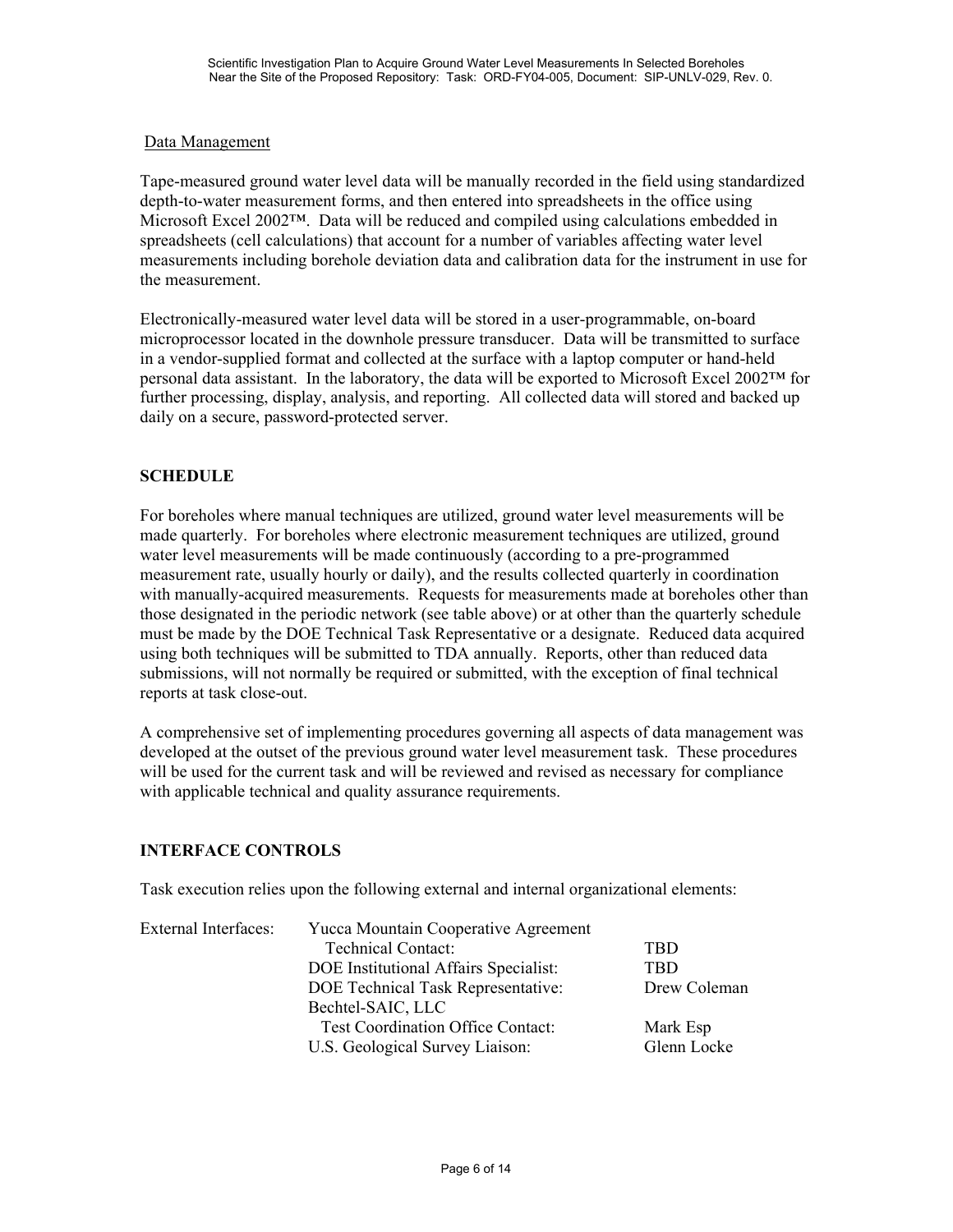## Data Management

Tape-measured ground water level data will be manually recorded in the field using standardized depth-to-water measurement forms, and then entered into spreadsheets in the office using Microsoft Excel 2002™. Data will be reduced and compiled using calculations embedded in spreadsheets (cell calculations) that account for a number of variables affecting water level measurements including borehole deviation data and calibration data for the instrument in use for the measurement.

Electronically-measured water level data will be stored in a user-programmable, on-board microprocessor located in the downhole pressure transducer. Data will be transmitted to surface in a vendor-supplied format and collected at the surface with a laptop computer or hand-held personal data assistant. In the laboratory, the data will be exported to Microsoft Excel 2002™ for further processing, display, analysis, and reporting. All collected data will stored and backed up daily on a secure, password-protected server.

## **SCHEDULE**

For boreholes where manual techniques are utilized, ground water level measurements will be made quarterly. For boreholes where electronic measurement techniques are utilized, ground water level measurements will be made continuously (according to a pre-programmed measurement rate, usually hourly or daily), and the results collected quarterly in coordination with manually-acquired measurements. Requests for measurements made at boreholes other than those designated in the periodic network (see table above) or at other than the quarterly schedule must be made by the DOE Technical Task Representative or a designate. Reduced data acquired using both techniques will be submitted to TDA annually. Reports, other than reduced data submissions, will not normally be required or submitted, with the exception of final technical reports at task close-out.

A comprehensive set of implementing procedures governing all aspects of data management was developed at the outset of the previous ground water level measurement task. These procedures will be used for the current task and will be reviewed and revised as necessary for compliance with applicable technical and quality assurance requirements.

## **INTERFACE CONTROLS**

Task execution relies upon the following external and internal organizational elements:

| <b>External Interfaces:</b> | Yucca Mountain Cooperative Agreement     |              |  |
|-----------------------------|------------------------------------------|--------------|--|
|                             | <b>Technical Contact:</b>                | <b>TBD</b>   |  |
|                             | DOE Institutional Affairs Specialist:    | TBD          |  |
|                             | DOE Technical Task Representative:       | Drew Coleman |  |
|                             | Bechtel-SAIC, LLC                        |              |  |
|                             | <b>Test Coordination Office Contact:</b> | Mark Esp     |  |
|                             | U.S. Geological Survey Liaison:          | Glenn Locke  |  |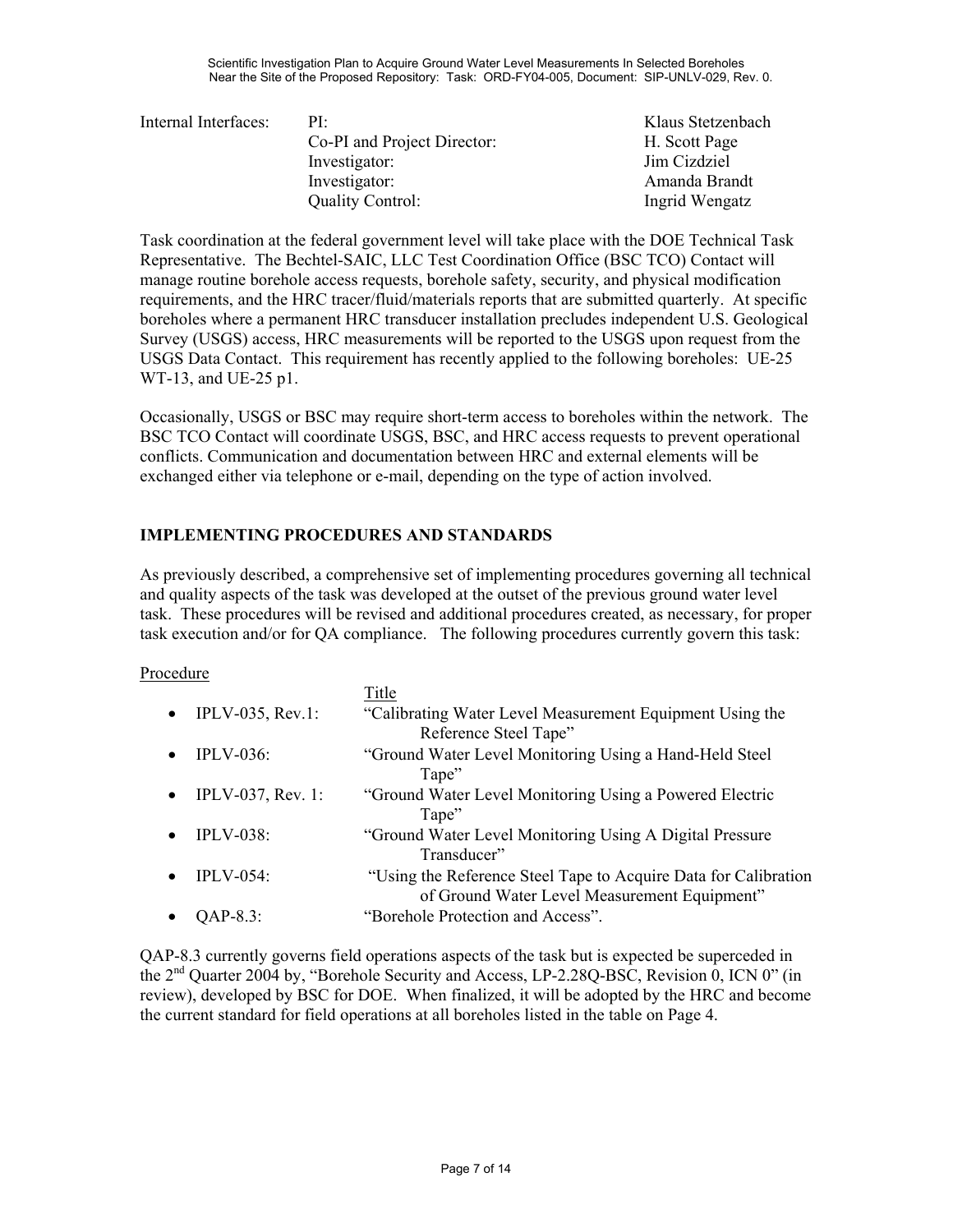| Internal Interfaces: | $PI^+$                      | Klaus Stetzenbach |
|----------------------|-----------------------------|-------------------|
|                      | Co-PI and Project Director: | H. Scott Page     |
|                      | Investigator:               | Jim Cizdziel      |
|                      | Investigator:               | Amanda Brandt     |
|                      | <b>Quality Control:</b>     | Ingrid Wengatz    |
|                      |                             |                   |

Task coordination at the federal government level will take place with the DOE Technical Task Representative. The Bechtel-SAIC, LLC Test Coordination Office (BSC TCO) Contact will manage routine borehole access requests, borehole safety, security, and physical modification requirements, and the HRC tracer/fluid/materials reports that are submitted quarterly. At specific boreholes where a permanent HRC transducer installation precludes independent U.S. Geological Survey (USGS) access, HRC measurements will be reported to the USGS upon request from the USGS Data Contact. This requirement has recently applied to the following boreholes: UE-25 WT-13, and UE-25 p1.

Occasionally, USGS or BSC may require short-term access to boreholes within the network. The BSC TCO Contact will coordinate USGS, BSC, and HRC access requests to prevent operational conflicts. Communication and documentation between HRC and external elements will be exchanged either via telephone or e-mail, depending on the type of action involved.

## **IMPLEMENTING PROCEDURES AND STANDARDS**

As previously described, a comprehensive set of implementing procedures governing all technical and quality aspects of the task was developed at the outset of the previous ground water level task. These procedures will be revised and additional procedures created, as necessary, for proper task execution and/or for QA compliance. The following procedures currently govern this task:

### Procedure

|                               | Title                                                           |
|-------------------------------|-----------------------------------------------------------------|
| IPLV-035, Rev.1:<br>$\bullet$ | "Calibrating Water Level Measurement Equipment Using the        |
|                               | Reference Steel Tape"                                           |
| $IPLV-036$ :                  | "Ground Water Level Monitoring Using a Hand-Held Steel          |
| $\bullet$                     | Tape"                                                           |
| <b>IPLV-037, Rev. 1:</b>      | "Ground Water Level Monitoring Using a Powered Electric         |
| $\bullet$                     | Tape"                                                           |
| $IPLV-038$ :                  | "Ground Water Level Monitoring Using A Digital Pressure         |
| $\bullet$                     | Transducer"                                                     |
| $IPLV-0.54$ :                 | "Using the Reference Steel Tape to Acquire Data for Calibration |
| ٠                             | of Ground Water Level Measurement Equipment"                    |
| QAP-8.3:                      | "Borehole Protection and Access".                               |

QAP-8.3 currently governs field operations aspects of the task but is expected be superceded in the 2nd Quarter 2004 by, "Borehole Security and Access, LP-2.28Q-BSC, Revision 0, ICN 0" (in review), developed by BSC for DOE. When finalized, it will be adopted by the HRC and become the current standard for field operations at all boreholes listed in the table on Page 4.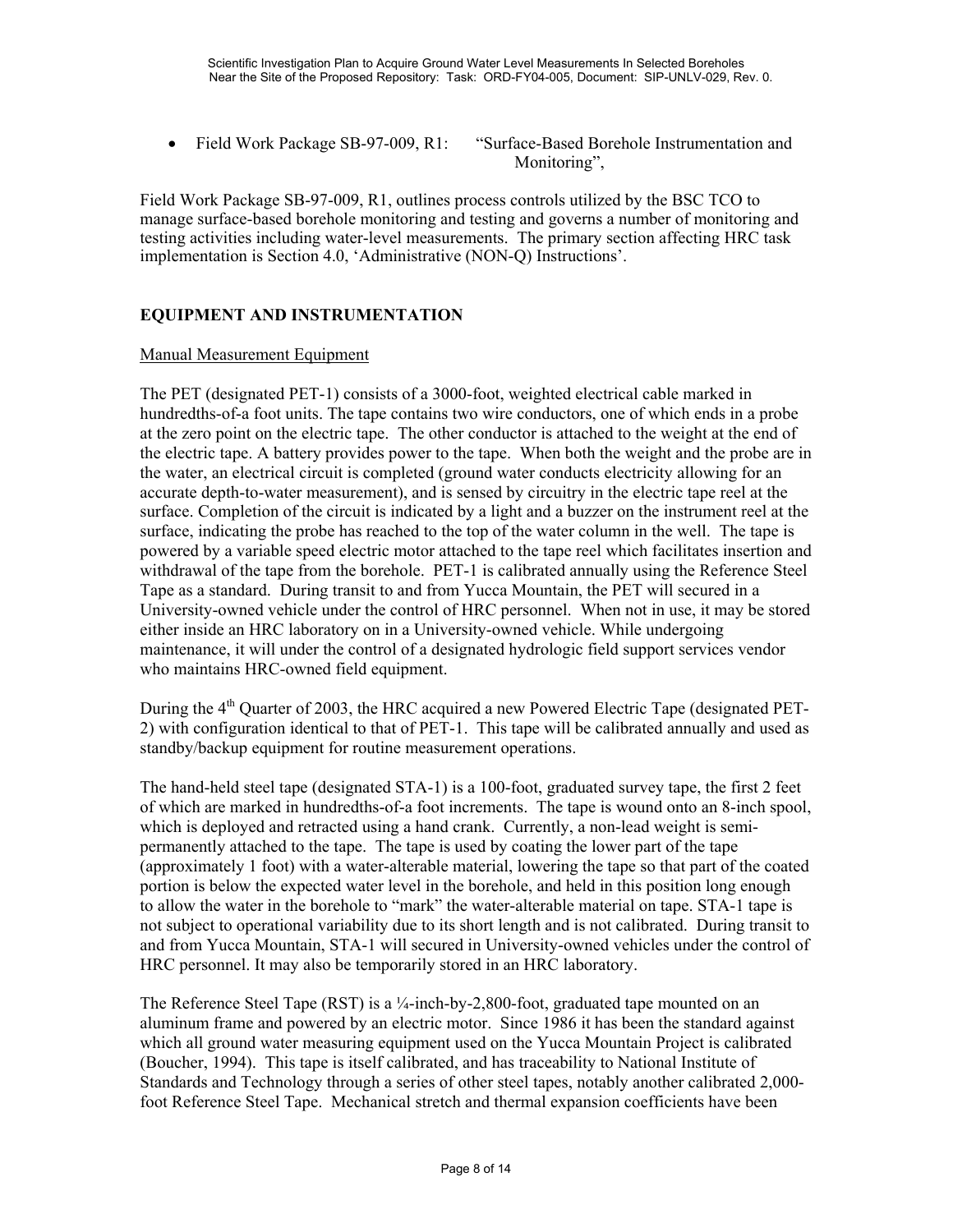• Field Work Package SB-97-009, R1: "Surface-Based Borehole Instrumentation and Monitoring".

Field Work Package SB-97-009, R1, outlines process controls utilized by the BSC TCO to manage surface-based borehole monitoring and testing and governs a number of monitoring and testing activities including water-level measurements. The primary section affecting HRC task implementation is Section 4.0, 'Administrative (NON-Q) Instructions'.

## **EQUIPMENT AND INSTRUMENTATION**

### Manual Measurement Equipment

The PET (designated PET-1) consists of a 3000-foot, weighted electrical cable marked in hundredths-of-a foot units. The tape contains two wire conductors, one of which ends in a probe at the zero point on the electric tape. The other conductor is attached to the weight at the end of the electric tape. A battery provides power to the tape. When both the weight and the probe are in the water, an electrical circuit is completed (ground water conducts electricity allowing for an accurate depth-to-water measurement), and is sensed by circuitry in the electric tape reel at the surface. Completion of the circuit is indicated by a light and a buzzer on the instrument reel at the surface, indicating the probe has reached to the top of the water column in the well. The tape is powered by a variable speed electric motor attached to the tape reel which facilitates insertion and withdrawal of the tape from the borehole. PET-1 is calibrated annually using the Reference Steel Tape as a standard. During transit to and from Yucca Mountain, the PET will secured in a University-owned vehicle under the control of HRC personnel. When not in use, it may be stored either inside an HRC laboratory on in a University-owned vehicle. While undergoing maintenance, it will under the control of a designated hydrologic field support services vendor who maintains HRC-owned field equipment.

During the  $4<sup>th</sup>$  Quarter of 2003, the HRC acquired a new Powered Electric Tape (designated PET-2) with configuration identical to that of PET-1. This tape will be calibrated annually and used as standby/backup equipment for routine measurement operations.

The hand-held steel tape (designated STA-1) is a 100-foot, graduated survey tape, the first 2 feet of which are marked in hundredths-of-a foot increments. The tape is wound onto an 8-inch spool, which is deployed and retracted using a hand crank. Currently, a non-lead weight is semipermanently attached to the tape. The tape is used by coating the lower part of the tape (approximately 1 foot) with a water-alterable material, lowering the tape so that part of the coated portion is below the expected water level in the borehole, and held in this position long enough to allow the water in the borehole to "mark" the water-alterable material on tape. STA-1 tape is not subject to operational variability due to its short length and is not calibrated. During transit to and from Yucca Mountain, STA-1 will secured in University-owned vehicles under the control of HRC personnel. It may also be temporarily stored in an HRC laboratory.

The Reference Steel Tape (RST) is a  $\frac{1}{4}$ -inch-by-2,800-foot, graduated tape mounted on an aluminum frame and powered by an electric motor. Since 1986 it has been the standard against which all ground water measuring equipment used on the Yucca Mountain Project is calibrated (Boucher, 1994). This tape is itself calibrated, and has traceability to National Institute of Standards and Technology through a series of other steel tapes, notably another calibrated 2,000 foot Reference Steel Tape. Mechanical stretch and thermal expansion coefficients have been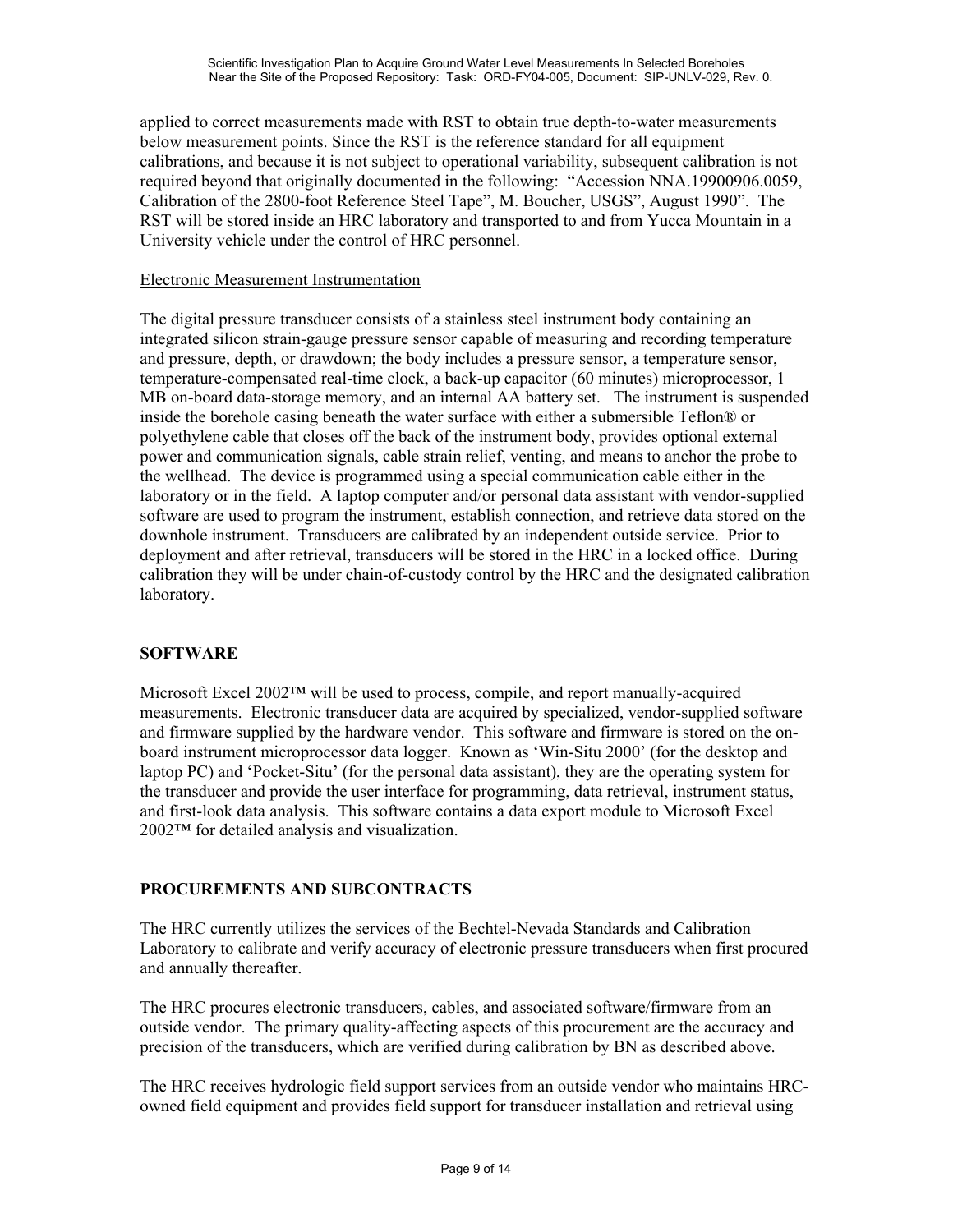applied to correct measurements made with RST to obtain true depth-to-water measurements below measurement points. Since the RST is the reference standard for all equipment calibrations, and because it is not subject to operational variability, subsequent calibration is not required beyond that originally documented in the following: "Accession NNA.19900906.0059, Calibration of the 2800-foot Reference Steel Tape", M. Boucher, USGS", August 1990". The RST will be stored inside an HRC laboratory and transported to and from Yucca Mountain in a University vehicle under the control of HRC personnel.

## Electronic Measurement Instrumentation

The digital pressure transducer consists of a stainless steel instrument body containing an integrated silicon strain-gauge pressure sensor capable of measuring and recording temperature and pressure, depth, or drawdown; the body includes a pressure sensor, a temperature sensor, temperature-compensated real-time clock, a back-up capacitor (60 minutes) microprocessor, 1 MB on-board data-storage memory, and an internal AA battery set. The instrument is suspended inside the borehole casing beneath the water surface with either a submersible Teflon® or polyethylene cable that closes off the back of the instrument body, provides optional external power and communication signals, cable strain relief, venting, and means to anchor the probe to the wellhead. The device is programmed using a special communication cable either in the laboratory or in the field. A laptop computer and/or personal data assistant with vendor-supplied software are used to program the instrument, establish connection, and retrieve data stored on the downhole instrument. Transducers are calibrated by an independent outside service. Prior to deployment and after retrieval, transducers will be stored in the HRC in a locked office. During calibration they will be under chain-of-custody control by the HRC and the designated calibration laboratory.

## **SOFTWARE**

Microsoft Excel 2002™ will be used to process, compile, and report manually-acquired measurements. Electronic transducer data are acquired by specialized, vendor-supplied software and firmware supplied by the hardware vendor. This software and firmware is stored on the onboard instrument microprocessor data logger. Known as 'Win-Situ 2000' (for the desktop and laptop PC) and 'Pocket-Situ' (for the personal data assistant), they are the operating system for the transducer and provide the user interface for programming, data retrieval, instrument status, and first-look data analysis. This software contains a data export module to Microsoft Excel 2002™ for detailed analysis and visualization.

## **PROCUREMENTS AND SUBCONTRACTS**

The HRC currently utilizes the services of the Bechtel-Nevada Standards and Calibration Laboratory to calibrate and verify accuracy of electronic pressure transducers when first procured and annually thereafter.

The HRC procures electronic transducers, cables, and associated software/firmware from an outside vendor. The primary quality-affecting aspects of this procurement are the accuracy and precision of the transducers, which are verified during calibration by BN as described above.

The HRC receives hydrologic field support services from an outside vendor who maintains HRCowned field equipment and provides field support for transducer installation and retrieval using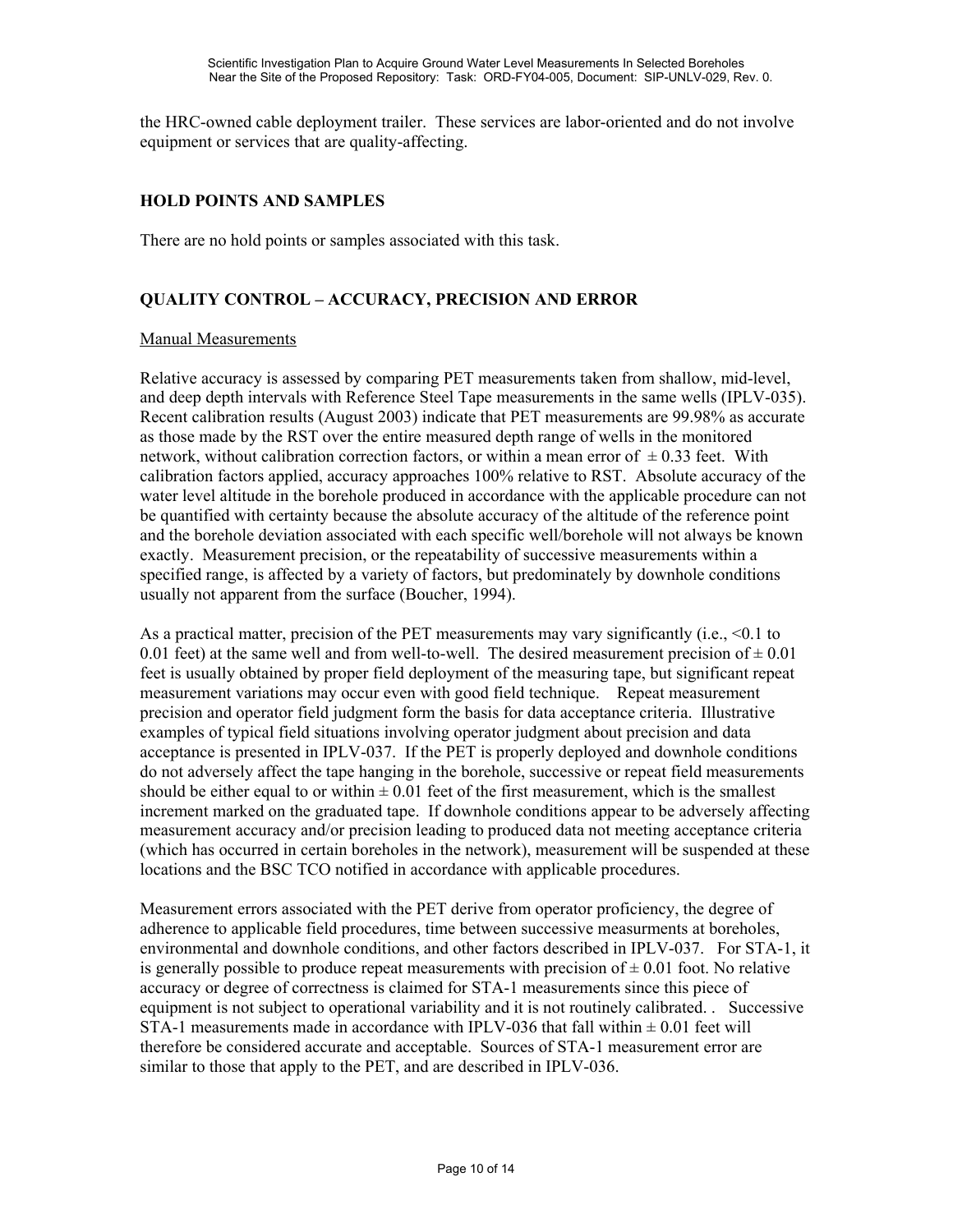the HRC-owned cable deployment trailer. These services are labor-oriented and do not involve equipment or services that are quality-affecting.

## **HOLD POINTS AND SAMPLES**

There are no hold points or samples associated with this task.

## **QUALITY CONTROL – ACCURACY, PRECISION AND ERROR**

#### Manual Measurements

Relative accuracy is assessed by comparing PET measurements taken from shallow, mid-level, and deep depth intervals with Reference Steel Tape measurements in the same wells (IPLV-035). Recent calibration results (August 2003) indicate that PET measurements are 99.98% as accurate as those made by the RST over the entire measured depth range of wells in the monitored network, without calibration correction factors, or within a mean error of  $\pm$  0.33 feet. With calibration factors applied, accuracy approaches 100% relative to RST. Absolute accuracy of the water level altitude in the borehole produced in accordance with the applicable procedure can not be quantified with certainty because the absolute accuracy of the altitude of the reference point and the borehole deviation associated with each specific well/borehole will not always be known exactly. Measurement precision, or the repeatability of successive measurements within a specified range, is affected by a variety of factors, but predominately by downhole conditions usually not apparent from the surface (Boucher, 1994).

As a practical matter, precision of the PET measurements may vary significantly (i.e., <0.1 to 0.01 feet) at the same well and from well-to-well. The desired measurement precision of  $\pm$  0.01 feet is usually obtained by proper field deployment of the measuring tape, but significant repeat measurement variations may occur even with good field technique. Repeat measurement precision and operator field judgment form the basis for data acceptance criteria. Illustrative examples of typical field situations involving operator judgment about precision and data acceptance is presented in IPLV-037. If the PET is properly deployed and downhole conditions do not adversely affect the tape hanging in the borehole, successive or repeat field measurements should be either equal to or within  $\pm 0.01$  feet of the first measurement, which is the smallest increment marked on the graduated tape. If downhole conditions appear to be adversely affecting measurement accuracy and/or precision leading to produced data not meeting acceptance criteria (which has occurred in certain boreholes in the network), measurement will be suspended at these locations and the BSC TCO notified in accordance with applicable procedures.

Measurement errors associated with the PET derive from operator proficiency, the degree of adherence to applicable field procedures, time between successive measurments at boreholes, environmental and downhole conditions, and other factors described in IPLV-037. For STA-1, it is generally possible to produce repeat measurements with precision of  $\pm$  0.01 foot. No relative accuracy or degree of correctness is claimed for STA-1 measurements since this piece of equipment is not subject to operational variability and it is not routinely calibrated. . Successive STA-1 measurements made in accordance with IPLV-036 that fall within  $\pm$  0.01 feet will therefore be considered accurate and acceptable. Sources of STA-1 measurement error are similar to those that apply to the PET, and are described in IPLV-036.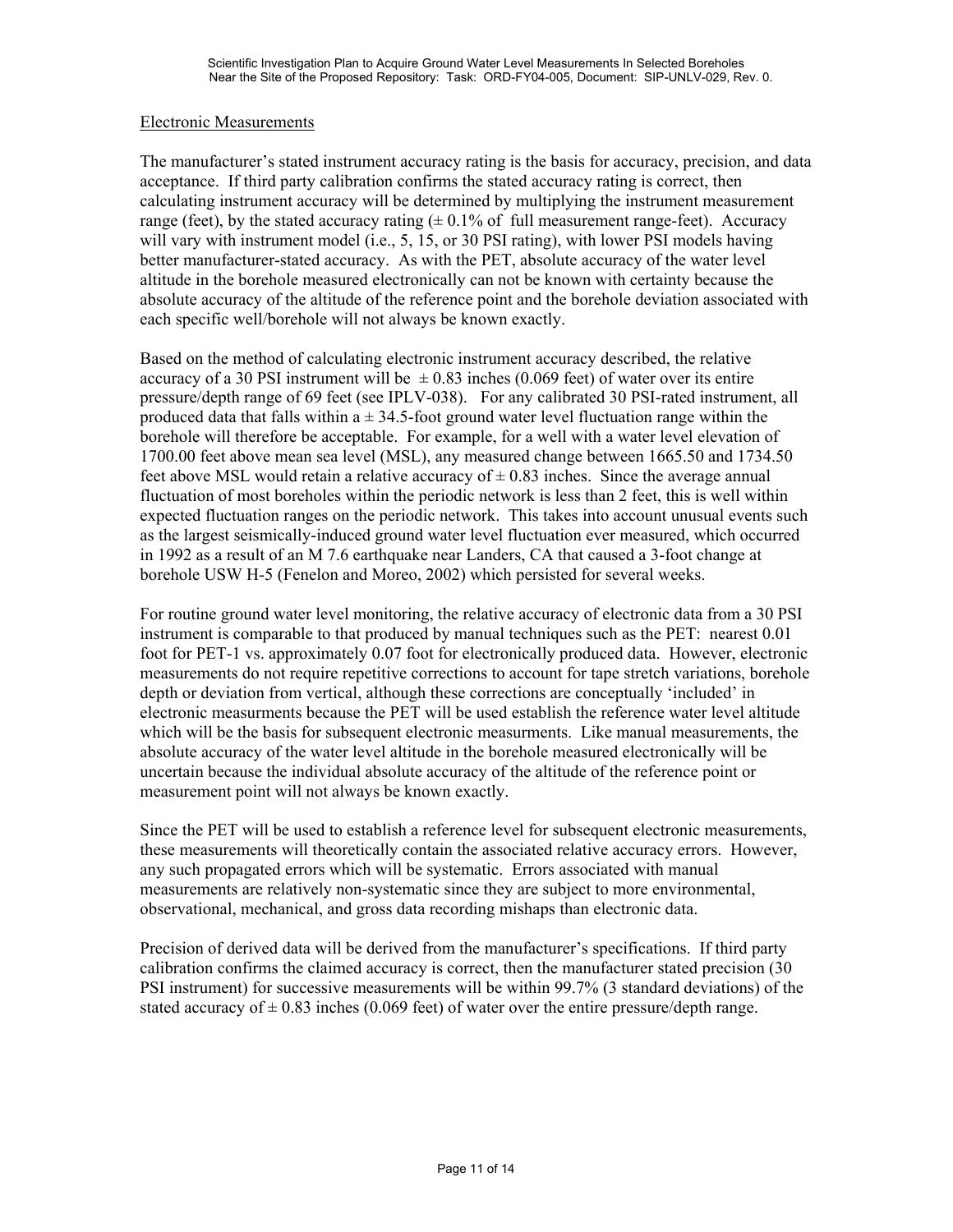### Electronic Measurements

The manufacturer's stated instrument accuracy rating is the basis for accuracy, precision, and data acceptance. If third party calibration confirms the stated accuracy rating is correct, then calculating instrument accuracy will be determined by multiplying the instrument measurement range (feet), by the stated accuracy rating  $(\pm 0.1\%$  of full measurement range-feet). Accuracy will vary with instrument model (i.e., 5, 15, or 30 PSI rating), with lower PSI models having better manufacturer-stated accuracy. As with the PET, absolute accuracy of the water level altitude in the borehole measured electronically can not be known with certainty because the absolute accuracy of the altitude of the reference point and the borehole deviation associated with each specific well/borehole will not always be known exactly.

Based on the method of calculating electronic instrument accuracy described, the relative accuracy of a 30 PSI instrument will be  $\pm 0.83$  inches (0.069 feet) of water over its entire pressure/depth range of 69 feet (see IPLV-038). For any calibrated 30 PSI-rated instrument, all produced data that falls within  $a \pm 34.5$ -foot ground water level fluctuation range within the borehole will therefore be acceptable. For example, for a well with a water level elevation of 1700.00 feet above mean sea level (MSL), any measured change between 1665.50 and 1734.50 feet above MSL would retain a relative accuracy of  $\pm$  0.83 inches. Since the average annual fluctuation of most boreholes within the periodic network is less than 2 feet, this is well within expected fluctuation ranges on the periodic network. This takes into account unusual events such as the largest seismically-induced ground water level fluctuation ever measured, which occurred in 1992 as a result of an M 7.6 earthquake near Landers, CA that caused a 3-foot change at borehole USW H-5 (Fenelon and Moreo, 2002) which persisted for several weeks.

For routine ground water level monitoring, the relative accuracy of electronic data from a 30 PSI instrument is comparable to that produced by manual techniques such as the PET: nearest 0.01 foot for PET-1 vs. approximately 0.07 foot for electronically produced data. However, electronic measurements do not require repetitive corrections to account for tape stretch variations, borehole depth or deviation from vertical, although these corrections are conceptually 'included' in electronic measurments because the PET will be used establish the reference water level altitude which will be the basis for subsequent electronic measurments. Like manual measurements, the absolute accuracy of the water level altitude in the borehole measured electronically will be uncertain because the individual absolute accuracy of the altitude of the reference point or measurement point will not always be known exactly.

Since the PET will be used to establish a reference level for subsequent electronic measurements, these measurements will theoretically contain the associated relative accuracy errors. However, any such propagated errors which will be systematic. Errors associated with manual measurements are relatively non-systematic since they are subject to more environmental, observational, mechanical, and gross data recording mishaps than electronic data.

Precision of derived data will be derived from the manufacturer's specifications. If third party calibration confirms the claimed accuracy is correct, then the manufacturer stated precision (30 PSI instrument) for successive measurements will be within 99.7% (3 standard deviations) of the stated accuracy of  $\pm$  0.83 inches (0.069 feet) of water over the entire pressure/depth range.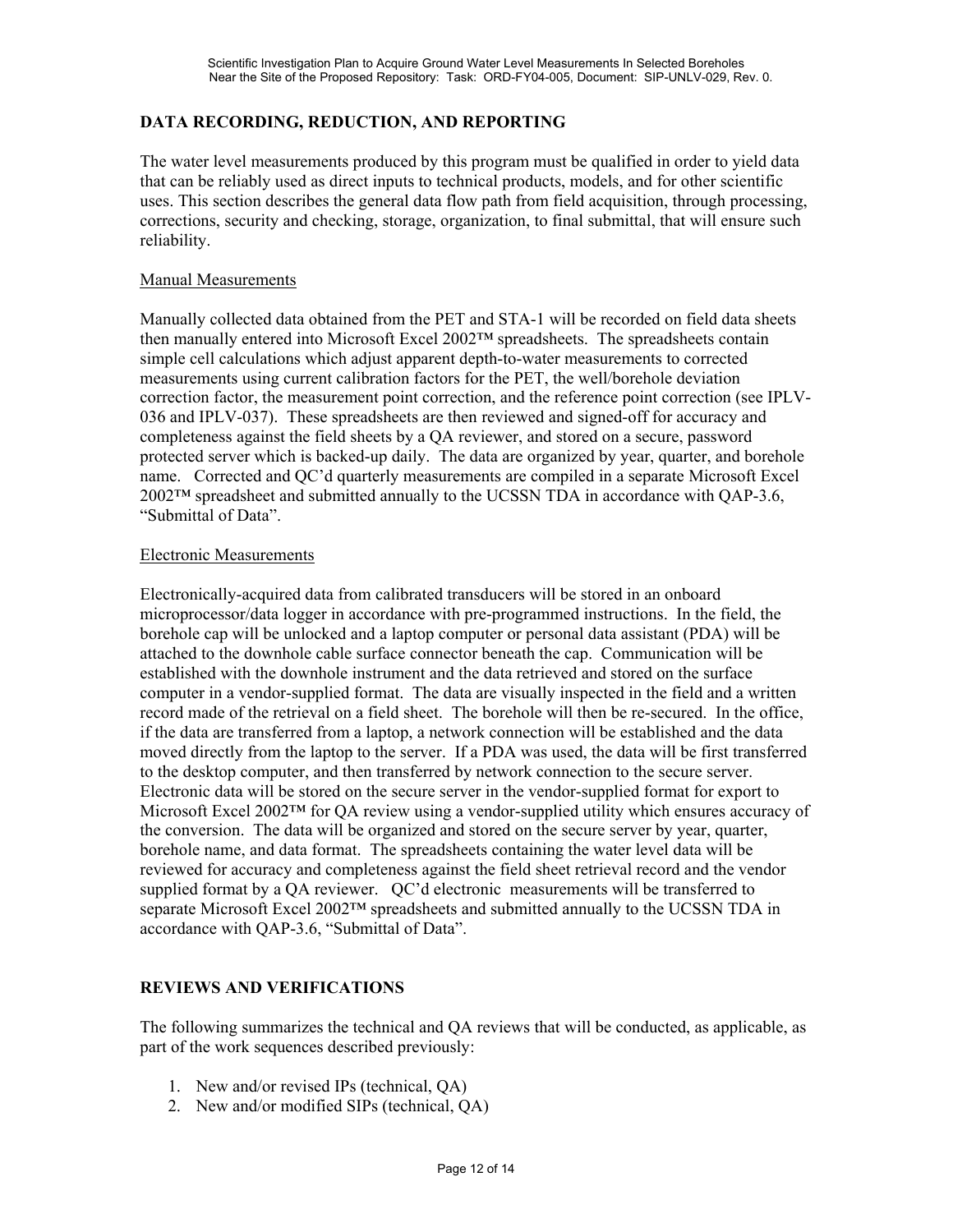## **DATA RECORDING, REDUCTION, AND REPORTING**

The water level measurements produced by this program must be qualified in order to yield data that can be reliably used as direct inputs to technical products, models, and for other scientific uses. This section describes the general data flow path from field acquisition, through processing, corrections, security and checking, storage, organization, to final submittal, that will ensure such reliability.

#### Manual Measurements

Manually collected data obtained from the PET and STA-1 will be recorded on field data sheets then manually entered into Microsoft Excel 2002™ spreadsheets. The spreadsheets contain simple cell calculations which adjust apparent depth-to-water measurements to corrected measurements using current calibration factors for the PET, the well/borehole deviation correction factor, the measurement point correction, and the reference point correction (see IPLV-036 and IPLV-037). These spreadsheets are then reviewed and signed-off for accuracy and completeness against the field sheets by a QA reviewer, and stored on a secure, password protected server which is backed-up daily. The data are organized by year, quarter, and borehole name. Corrected and QC'd quarterly measurements are compiled in a separate Microsoft Excel  $2002<sup>TM</sup>$  spreadsheet and submitted annually to the UCSSN TDA in accordance with QAP-3.6, "Submittal of Data".

#### Electronic Measurements

Electronically-acquired data from calibrated transducers will be stored in an onboard microprocessor/data logger in accordance with pre-programmed instructions. In the field, the borehole cap will be unlocked and a laptop computer or personal data assistant (PDA) will be attached to the downhole cable surface connector beneath the cap. Communication will be established with the downhole instrument and the data retrieved and stored on the surface computer in a vendor-supplied format. The data are visually inspected in the field and a written record made of the retrieval on a field sheet. The borehole will then be re-secured. In the office, if the data are transferred from a laptop, a network connection will be established and the data moved directly from the laptop to the server. If a PDA was used, the data will be first transferred to the desktop computer, and then transferred by network connection to the secure server. Electronic data will be stored on the secure server in the vendor-supplied format for export to Microsoft Excel 2002™ for QA review using a vendor-supplied utility which ensures accuracy of the conversion. The data will be organized and stored on the secure server by year, quarter, borehole name, and data format. The spreadsheets containing the water level data will be reviewed for accuracy and completeness against the field sheet retrieval record and the vendor supplied format by a QA reviewer. QC'd electronic measurements will be transferred to separate Microsoft Excel 2002™ spreadsheets and submitted annually to the UCSSN TDA in accordance with QAP-3.6, "Submittal of Data".

### **REVIEWS AND VERIFICATIONS**

The following summarizes the technical and QA reviews that will be conducted, as applicable, as part of the work sequences described previously:

- 1. New and/or revised IPs (technical, QA)
- 2. New and/or modified SIPs (technical, QA)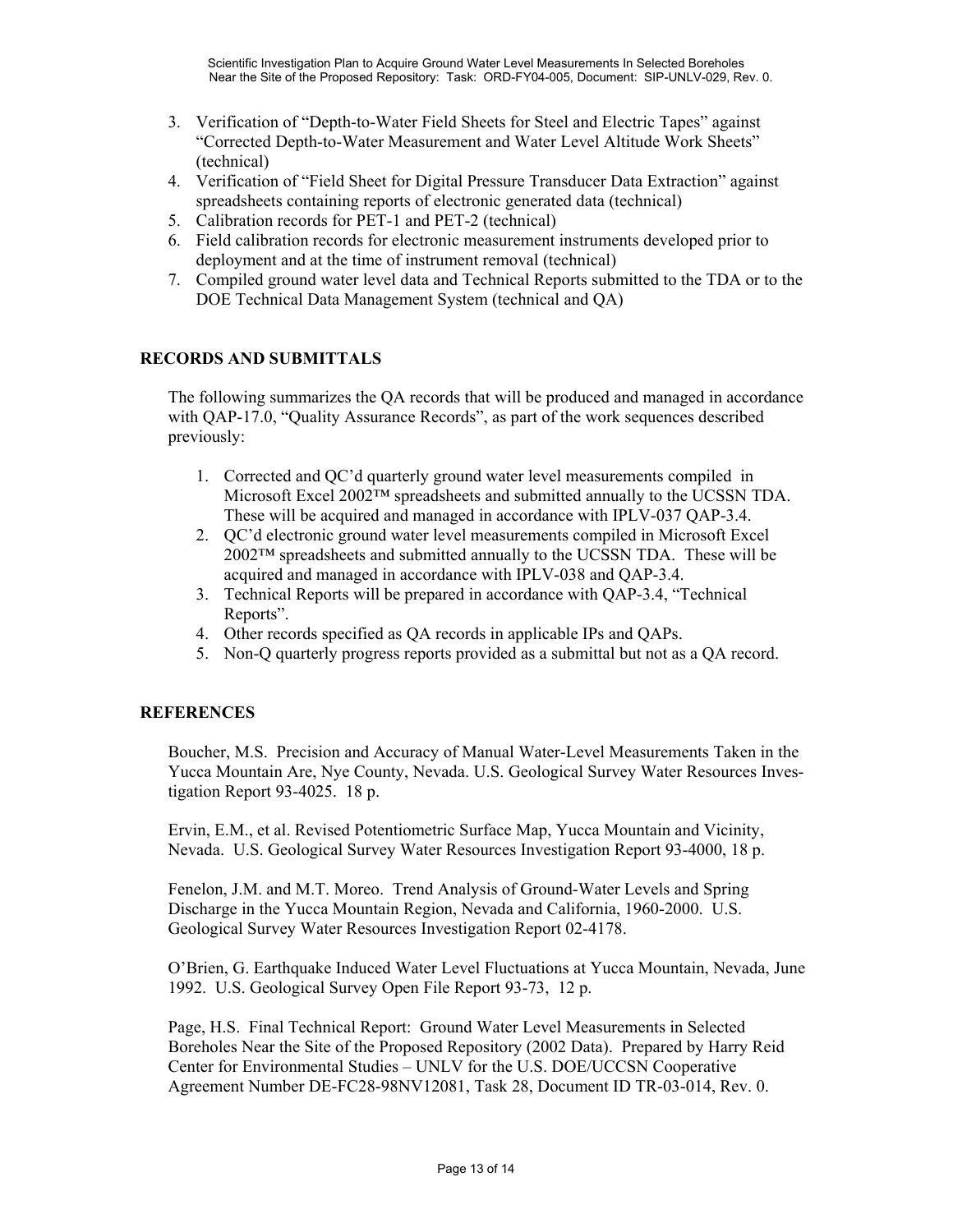- 3. Verification of "Depth-to-Water Field Sheets for Steel and Electric Tapes" against "Corrected Depth-to-Water Measurement and Water Level Altitude Work Sheets" (technical)
- 4. Verification of "Field Sheet for Digital Pressure Transducer Data Extraction" against spreadsheets containing reports of electronic generated data (technical)
- 5. Calibration records for PET-1 and PET-2 (technical)
- 6. Field calibration records for electronic measurement instruments developed prior to deployment and at the time of instrument removal (technical)
- 7. Compiled ground water level data and Technical Reports submitted to the TDA or to the DOE Technical Data Management System (technical and QA)

## **RECORDS AND SUBMITTALS**

The following summarizes the QA records that will be produced and managed in accordance with QAP-17.0, "Quality Assurance Records", as part of the work sequences described previously:

- 1. Corrected and QC'd quarterly ground water level measurements compiled in Microsoft Excel 2002™ spreadsheets and submitted annually to the UCSSN TDA. These will be acquired and managed in accordance with IPLV-037 QAP-3.4.
- 2. QC'd electronic ground water level measurements compiled in Microsoft Excel 2002™ spreadsheets and submitted annually to the UCSSN TDA. These will be acquired and managed in accordance with IPLV-038 and QAP-3.4.
- 3. Technical Reports will be prepared in accordance with QAP-3.4, "Technical Reports".
- 4. Other records specified as QA records in applicable IPs and QAPs.
- 5. Non-Q quarterly progress reports provided as a submittal but not as a QA record.

### **REFERENCES**

Boucher, M.S. Precision and Accuracy of Manual Water-Level Measurements Taken in the Yucca Mountain Are, Nye County, Nevada. U.S. Geological Survey Water Resources Investigation Report 93-4025. 18 p.

Ervin, E.M., et al. Revised Potentiometric Surface Map, Yucca Mountain and Vicinity, Nevada. U.S. Geological Survey Water Resources Investigation Report 93-4000, 18 p.

Fenelon, J.M. and M.T. Moreo. Trend Analysis of Ground-Water Levels and Spring Discharge in the Yucca Mountain Region, Nevada and California, 1960-2000. U.S. Geological Survey Water Resources Investigation Report 02-4178.

O'Brien, G. Earthquake Induced Water Level Fluctuations at Yucca Mountain, Nevada, June 1992. U.S. Geological Survey Open File Report 93-73, 12 p.

Page, H.S. Final Technical Report: Ground Water Level Measurements in Selected Boreholes Near the Site of the Proposed Repository (2002 Data). Prepared by Harry Reid Center for Environmental Studies – UNLV for the U.S. DOE/UCCSN Cooperative Agreement Number DE-FC28-98NV12081, Task 28, Document ID TR-03-014, Rev. 0.